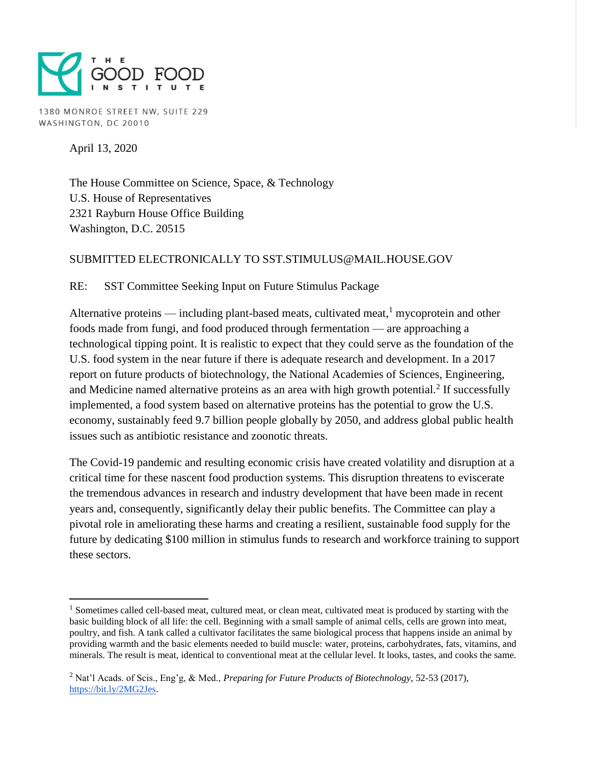

1380 MONROE STREET NW, SUITE 229 WASHINGTON, DC 20010

April 13, 2020

 $\overline{a}$ 

The House Committee on Science, Space, & Technology U.S. House of Representatives 2321 Rayburn House Office Building Washington, D.C. 20515

## SUBMITTED ELECTRONICALLY TO SST.STIMULUS@MAIL.HOUSE.GOV

RE: SST Committee Seeking Input on Future Stimulus Package

Alternative proteins — including plant-based meats, cultivated meat, $<sup>1</sup>$  mycoprotein and other</sup> foods made from fungi, and food produced through fermentation — are approaching a technological tipping point. It is realistic to expect that they could serve as the foundation of the U.S. food system in the near future if there is adequate research and development. In a 2017 report on future products of biotechnology, the National Academies of Sciences, Engineering, and Medicine named alternative proteins as an area with high growth potential.<sup>2</sup> If successfully implemented, a food system based on alternative proteins has the potential to grow the U.S. economy, sustainably feed 9.7 billion people globally by 2050, and address global public health issues such as antibiotic resistance and zoonotic threats.

The Covid-19 pandemic and resulting economic crisis have created volatility and disruption at a critical time for these nascent food production systems. This disruption threatens to eviscerate the tremendous advances in research and industry development that have been made in recent years and, consequently, significantly delay their public benefits. The Committee can play a pivotal role in ameliorating these harms and creating a resilient, sustainable food supply for the future by dedicating \$100 million in stimulus funds to research and workforce training to support these sectors.

<sup>&</sup>lt;sup>1</sup> Sometimes called cell-based meat, cultured meat, or clean meat, cultivated meat is produced by starting with the basic building block of all life: the cell. Beginning with a small sample of animal cells, cells are grown into meat, poultry, and fish. A tank called a cultivator facilitates the same biological process that happens inside an animal by providing warmth and the basic elements needed to build muscle: water, proteins, carbohydrates, fats, vitamins, and minerals. The result is meat, identical to conventional meat at the cellular level. It looks, tastes, and cooks the same.

<sup>2</sup> Nat'l Acads. of Scis., Eng'g, & Med., *Preparing for Future Products of Biotechnology*, 52-53 (2017), [https://bit.ly/2MG2Jes.](https://bit.ly/2MG2Jes)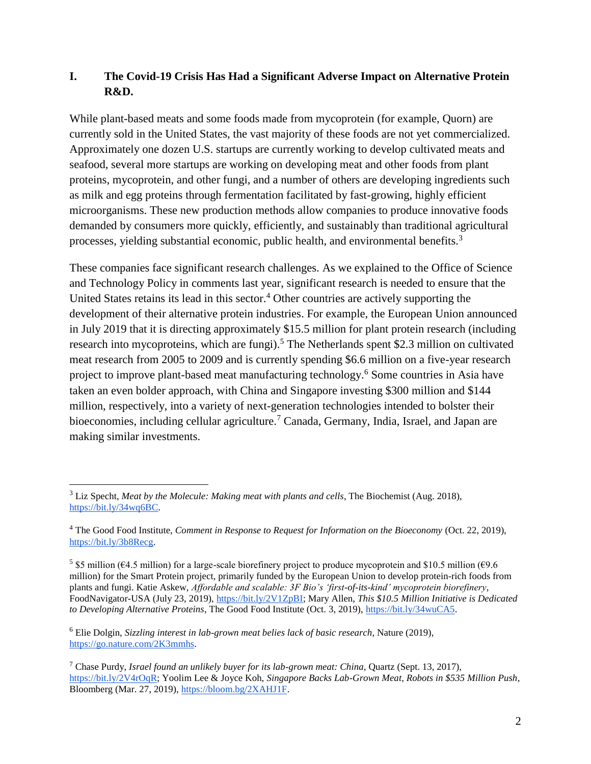# **I. The Covid-19 Crisis Has Had a Significant Adverse Impact on Alternative Protein R&D.**

While plant-based meats and some foods made from mycoprotein (for example, Quorn) are currently sold in the United States, the vast majority of these foods are not yet commercialized. Approximately one dozen U.S. startups are currently working to develop cultivated meats and seafood, several more startups are working on developing meat and other foods from plant proteins, mycoprotein, and other fungi, and a number of others are developing ingredients such as milk and egg proteins through fermentation facilitated by fast-growing, highly efficient microorganisms. These new production methods allow companies to produce innovative foods demanded by consumers more quickly, efficiently, and sustainably than traditional agricultural processes, yielding substantial economic, public health, and environmental benefits.<sup>3</sup>

These companies face significant research challenges. As we explained to the Office of Science and Technology Policy in comments last year, significant research is needed to ensure that the United States retains its lead in this sector.<sup>4</sup> Other countries are actively supporting the development of their alternative protein industries. For example, the European Union announced in July 2019 that it is directing approximately \$15.5 million for plant protein research (including research into mycoproteins, which are fungi).<sup>5</sup> The Netherlands spent \$2.3 million on cultivated meat research from 2005 to 2009 and is currently spending \$6.6 million on a five-year research project to improve plant-based meat manufacturing technology.<sup>6</sup> Some countries in Asia have taken an even bolder approach, with China and Singapore investing \$300 million and \$144 million, respectively, into a variety of next-generation technologies intended to bolster their bioeconomies, including cellular agriculture.<sup>7</sup> Canada, Germany, India, Israel, and Japan are making similar investments.

 $\overline{a}$ 

<sup>3</sup> Liz Specht, *Meat by the Molecule: Making meat with plants and cells*, The Biochemist (Aug. 2018), [https://bit.ly/34wq6BC.](https://bit.ly/34wq6BC)

<sup>4</sup> The Good Food Institute, *Comment in Response to Request for Information on the Bioeconomy* (Oct. 22, 2019), [https://bit.ly/3b8Recg.](https://bit.ly/3b8Recg)

<sup>&</sup>lt;sup>5</sup> \$5 million ( $64.5$  million) for a large-scale biorefinery project to produce mycoprotein and \$10.5 million ( $69.6$ ) million) for the Smart Protein project, primarily funded by the European Union to develop protein-rich foods from plants and fungi. Katie Askew, *Affordable and scalable: 3F Bio's 'first-of-its-kind' mycoprotein biorefinery*, FoodNavigator-USA (July 23, 2019), [https://bit.ly/2V1ZpBI;](https://bit.ly/2V1ZpBI) Mary Allen, *This \$10.5 Million Initiative is Dedicated to Developing Alternative Proteins*, The Good Food Institute (Oct. 3, 2019), [https://bit.ly/34wuCA5.](https://bit.ly/34wuCA5)

<sup>6</sup> Elie Dolgin, *Sizzling interest in lab-grown meat belies lack of basic research*, Nature (2019), [https://go.nature.com/2K3mmhs.](https://go.nature.com/2K3mmhs)

<sup>7</sup> Chase Purdy, *Israel found an unlikely buyer for its lab-grown meat: China*, Quartz (Sept. 13, 2017), [https://bit.ly/2V4rOqR;](https://bit.ly/2V4rOqR) Yoolim Lee & Joyce Koh, *Singapore Backs Lab-Grown Meat, Robots in \$535 Million Push*, Bloomberg (Mar. 27, 2019), [https://bloom.bg/2XAHJ1F.](https://bloom.bg/2XAHJ1F)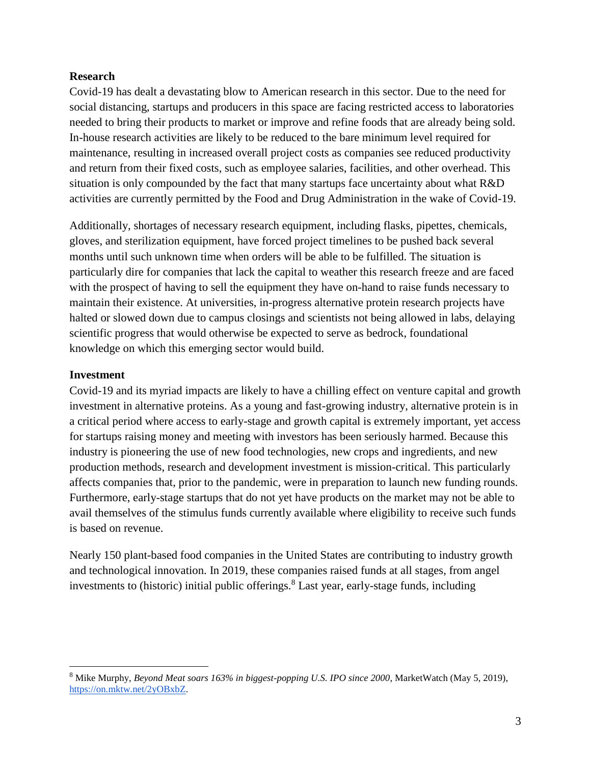## **Research**

Covid-19 has dealt a devastating blow to American research in this sector. Due to the need for social distancing, startups and producers in this space are facing restricted access to laboratories needed to bring their products to market or improve and refine foods that are already being sold. In-house research activities are likely to be reduced to the bare minimum level required for maintenance, resulting in increased overall project costs as companies see reduced productivity and return from their fixed costs, such as employee salaries, facilities, and other overhead. This situation is only compounded by the fact that many startups face uncertainty about what R&D activities are currently permitted by the Food and Drug Administration in the wake of Covid-19.

Additionally, shortages of necessary research equipment, including flasks, pipettes, chemicals, gloves, and sterilization equipment, have forced project timelines to be pushed back several months until such unknown time when orders will be able to be fulfilled. The situation is particularly dire for companies that lack the capital to weather this research freeze and are faced with the prospect of having to sell the equipment they have on-hand to raise funds necessary to maintain their existence. At universities, in-progress alternative protein research projects have halted or slowed down due to campus closings and scientists not being allowed in labs, delaying scientific progress that would otherwise be expected to serve as bedrock, foundational knowledge on which this emerging sector would build.

## **Investment**

 $\overline{a}$ 

Covid-19 and its myriad impacts are likely to have a chilling effect on venture capital and growth investment in alternative proteins. As a young and fast-growing industry, alternative protein is in a critical period where access to early-stage and growth capital is extremely important, yet access for startups raising money and meeting with investors has been seriously harmed. Because this industry is pioneering the use of new food technologies, new crops and ingredients, and new production methods, research and development investment is mission-critical. This particularly affects companies that, prior to the pandemic, were in preparation to launch new funding rounds. Furthermore, early-stage startups that do not yet have products on the market may not be able to avail themselves of the stimulus funds currently available where eligibility to receive such funds is based on revenue.

Nearly 150 plant-based food companies in the United States are contributing to industry growth and technological innovation. In 2019, these companies raised funds at all stages, from angel investments to (historic) initial public offerings.<sup>8</sup> Last year, early-stage funds, including

<sup>8</sup> Mike Murphy, *Beyond Meat soars 163% in biggest-popping U.S. IPO since 2000*, MarketWatch (May 5, 2019), [https://on.mktw.net/2yOBxbZ.](https://on.mktw.net/2yOBxbZ)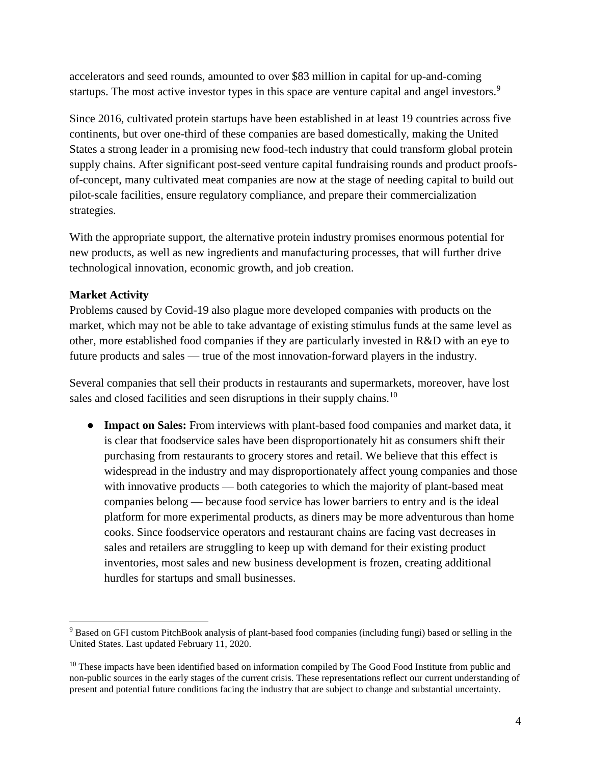accelerators and seed rounds, amounted to over \$83 million in capital for up-and-coming startups. The most active investor types in this space are venture capital and angel investors.<sup>9</sup>

Since 2016, cultivated protein startups have been established in at least 19 countries across five continents, but over one-third of these companies are based domestically, making the United States a strong leader in a promising new food-tech industry that could transform global protein supply chains. After significant post-seed venture capital fundraising rounds and product proofsof-concept, many cultivated meat companies are now at the stage of needing capital to build out pilot-scale facilities, ensure regulatory compliance, and prepare their commercialization strategies.

With the appropriate support, the alternative protein industry promises enormous potential for new products, as well as new ingredients and manufacturing processes, that will further drive technological innovation, economic growth, and job creation.

# **Market Activity**

 $\overline{a}$ 

Problems caused by Covid-19 also plague more developed companies with products on the market, which may not be able to take advantage of existing stimulus funds at the same level as other, more established food companies if they are particularly invested in R&D with an eye to future products and sales — true of the most innovation-forward players in the industry.

Several companies that sell their products in restaurants and supermarkets, moreover, have lost sales and closed facilities and seen disruptions in their supply chains.<sup>10</sup>

● **Impact on Sales:** From interviews with plant-based food companies and market data, it is clear that foodservice sales have been disproportionately hit as consumers shift their purchasing from restaurants to grocery stores and retail. We believe that this effect is widespread in the industry and may disproportionately affect young companies and those with innovative products — both categories to which the majority of plant-based meat companies belong — because food service has lower barriers to entry and is the ideal platform for more experimental products, as diners may be more adventurous than home cooks. Since foodservice operators and restaurant chains are facing vast decreases in sales and retailers are struggling to keep up with demand for their existing product inventories, most sales and new business development is frozen, creating additional hurdles for startups and small businesses.

<sup>9</sup> Based on GFI custom PitchBook analysis of plant-based food companies (including fungi) based or selling in the United States. Last updated February 11, 2020.

<sup>&</sup>lt;sup>10</sup> These impacts have been identified based on information compiled by The Good Food Institute from public and non-public sources in the early stages of the current crisis. These representations reflect our current understanding of present and potential future conditions facing the industry that are subject to change and substantial uncertainty.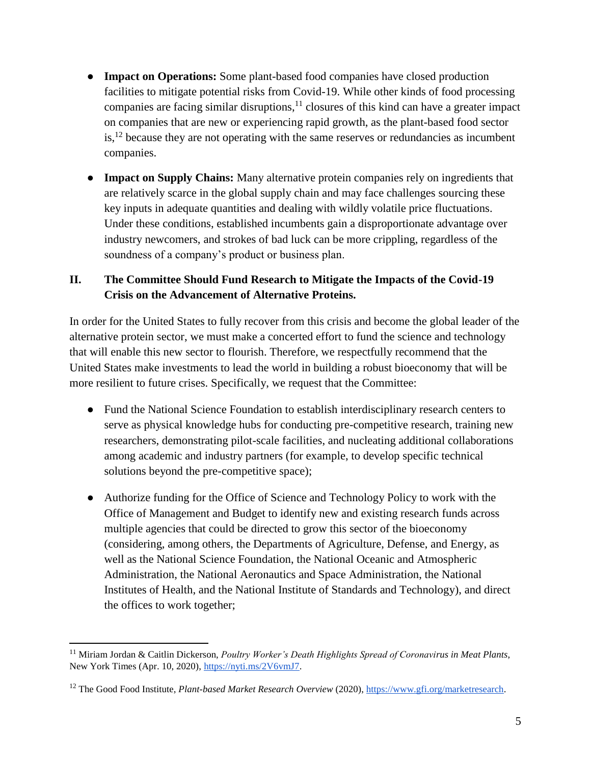- **Impact on Operations:** Some plant-based food companies have closed production facilities to mitigate potential risks from Covid-19. While other kinds of food processing companies are facing similar disruptions, $11$  closures of this kind can have a greater impact on companies that are new or experiencing rapid growth, as the plant-based food sector  $is$ ,<sup>12</sup> because they are not operating with the same reserves or redundancies as incumbent companies.
- **Impact on Supply Chains:** Many alternative protein companies rely on ingredients that are relatively scarce in the global supply chain and may face challenges sourcing these key inputs in adequate quantities and dealing with wildly volatile price fluctuations. Under these conditions, established incumbents gain a disproportionate advantage over industry newcomers, and strokes of bad luck can be more crippling, regardless of the soundness of a company's product or business plan.

# **II. The Committee Should Fund Research to Mitigate the Impacts of the Covid-19 Crisis on the Advancement of Alternative Proteins.**

In order for the United States to fully recover from this crisis and become the global leader of the alternative protein sector, we must make a concerted effort to fund the science and technology that will enable this new sector to flourish. Therefore, we respectfully recommend that the United States make investments to lead the world in building a robust bioeconomy that will be more resilient to future crises. Specifically, we request that the Committee:

- Fund the National Science Foundation to establish interdisciplinary research centers to serve as physical knowledge hubs for conducting pre-competitive research, training new researchers, demonstrating pilot-scale facilities, and nucleating additional collaborations among academic and industry partners (for example, to develop specific technical solutions beyond the pre-competitive space);
- Authorize funding for the Office of Science and Technology Policy to work with the Office of Management and Budget to identify new and existing research funds across multiple agencies that could be directed to grow this sector of the bioeconomy (considering, among others, the Departments of Agriculture, Defense, and Energy, as well as the National Science Foundation, the National Oceanic and Atmospheric Administration, the National Aeronautics and Space Administration, the National Institutes of Health, and the National Institute of Standards and Technology), and direct the offices to work together;

<sup>11</sup> Miriam Jordan & Caitlin Dickerson, *Poultry Worker's Death Highlights Spread of Coronavirus in Meat Plants*, New York Times (Apr. 10, 2020), [https://nyti.ms/2V6vmJ7.](https://nyti.ms/2V6vmJ7)

<sup>&</sup>lt;sup>12</sup> The Good Food Institute, *Plant-based Market Research Overview* (2020)[, https://www.gfi.org/marketresearch.](https://www.gfi.org/marketresearch)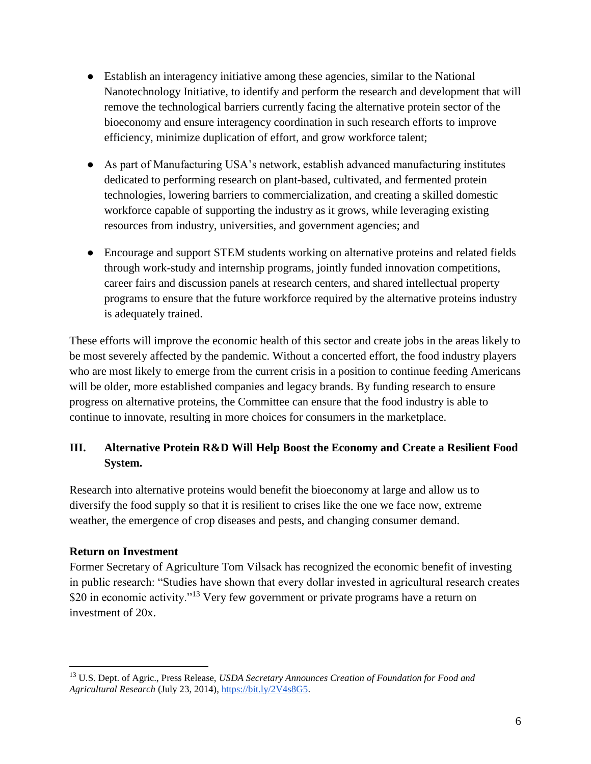- Establish an interagency initiative among these agencies, similar to the National Nanotechnology Initiative, to identify and perform the research and development that will remove the technological barriers currently facing the alternative protein sector of the bioeconomy and ensure interagency coordination in such research efforts to improve efficiency, minimize duplication of effort, and grow workforce talent;
- As part of Manufacturing USA's network, establish advanced manufacturing institutes dedicated to performing research on plant-based, cultivated, and fermented protein technologies, lowering barriers to commercialization, and creating a skilled domestic workforce capable of supporting the industry as it grows, while leveraging existing resources from industry, universities, and government agencies; and
- Encourage and support STEM students working on alternative proteins and related fields through work-study and internship programs, jointly funded innovation competitions, career fairs and discussion panels at research centers, and shared intellectual property programs to ensure that the future workforce required by the alternative proteins industry is adequately trained.

These efforts will improve the economic health of this sector and create jobs in the areas likely to be most severely affected by the pandemic. Without a concerted effort, the food industry players who are most likely to emerge from the current crisis in a position to continue feeding Americans will be older, more established companies and legacy brands. By funding research to ensure progress on alternative proteins, the Committee can ensure that the food industry is able to continue to innovate, resulting in more choices for consumers in the marketplace.

# **III. Alternative Protein R&D Will Help Boost the Economy and Create a Resilient Food System.**

Research into alternative proteins would benefit the bioeconomy at large and allow us to diversify the food supply so that it is resilient to crises like the one we face now, extreme weather, the emergence of crop diseases and pests, and changing consumer demand.

# **Return on Investment**

 $\overline{a}$ 

Former Secretary of Agriculture Tom Vilsack has recognized the economic benefit of investing in public research: "Studies have shown that every dollar invested in agricultural research creates \$20 in economic activity."<sup>13</sup> Very few government or private programs have a return on investment of 20x.

<sup>13</sup> U.S. Dept. of Agric., Press Release, *USDA Secretary Announces Creation of Foundation for Food and Agricultural Research* (July 23, 2014)[, https://bit.ly/2V4s8G5.](https://bit.ly/2V4s8G5)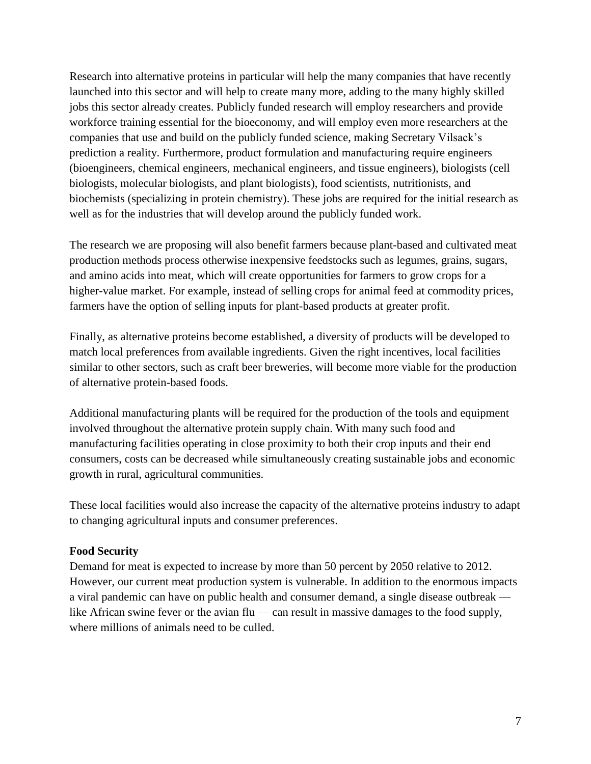Research into alternative proteins in particular will help the many companies that have recently launched into this sector and will help to create many more, adding to the many highly skilled jobs this sector already creates. Publicly funded research will employ researchers and provide workforce training essential for the bioeconomy, and will employ even more researchers at the companies that use and build on the publicly funded science, making Secretary Vilsack's prediction a reality. Furthermore, product formulation and manufacturing require engineers (bioengineers, chemical engineers, mechanical engineers, and tissue engineers), biologists (cell biologists, molecular biologists, and plant biologists), food scientists, nutritionists, and biochemists (specializing in protein chemistry). These jobs are required for the initial research as well as for the industries that will develop around the publicly funded work.

The research we are proposing will also benefit farmers because plant-based and cultivated meat production methods process otherwise inexpensive feedstocks such as legumes, grains, sugars, and amino acids into meat, which will create opportunities for farmers to grow crops for a higher-value market. For example, instead of selling crops for animal feed at commodity prices, farmers have the option of selling inputs for plant-based products at greater profit.

Finally, as alternative proteins become established, a diversity of products will be developed to match local preferences from available ingredients. Given the right incentives, local facilities similar to other sectors, such as craft beer breweries, will become more viable for the production of alternative protein-based foods.

Additional manufacturing plants will be required for the production of the tools and equipment involved throughout the alternative protein supply chain. With many such food and manufacturing facilities operating in close proximity to both their crop inputs and their end consumers, costs can be decreased while simultaneously creating sustainable jobs and economic growth in rural, agricultural communities.

These local facilities would also increase the capacity of the alternative proteins industry to adapt to changing agricultural inputs and consumer preferences.

### **Food Security**

Demand for meat is expected to increase by more than 50 percent by 2050 relative to 2012. However, our current meat production system is vulnerable. In addition to the enormous impacts a viral pandemic can have on public health and consumer demand, a single disease outbreak like African swine fever or the avian flu — can result in massive damages to the food supply, where millions of animals need to be culled.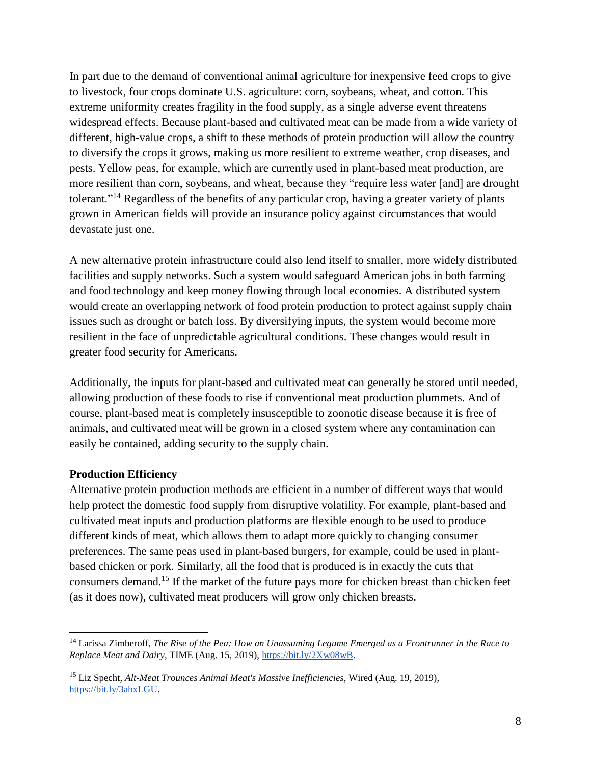In part due to the demand of conventional animal agriculture for inexpensive feed crops to give to livestock, four crops dominate U.S. agriculture: corn, soybeans, wheat, and cotton. This extreme uniformity creates fragility in the food supply, as a single adverse event threatens widespread effects. Because plant-based and cultivated meat can be made from a wide variety of different, high-value crops, a shift to these methods of protein production will allow the country to diversify the crops it grows, making us more resilient to extreme weather, crop diseases, and pests. Yellow peas, for example, which are currently used in plant-based meat production, are more resilient than corn, soybeans, and wheat, because they "require less water [and] are drought tolerant."<sup>14</sup> Regardless of the benefits of any particular crop, having a greater variety of plants grown in American fields will provide an insurance policy against circumstances that would devastate just one.

A new alternative protein infrastructure could also lend itself to smaller, more widely distributed facilities and supply networks. Such a system would safeguard American jobs in both farming and food technology and keep money flowing through local economies. A distributed system would create an overlapping network of food protein production to protect against supply chain issues such as drought or batch loss. By diversifying inputs, the system would become more resilient in the face of unpredictable agricultural conditions. These changes would result in greater food security for Americans.

Additionally, the inputs for plant-based and cultivated meat can generally be stored until needed, allowing production of these foods to rise if conventional meat production plummets. And of course, plant-based meat is completely insusceptible to zoonotic disease because it is free of animals, and cultivated meat will be grown in a closed system where any contamination can easily be contained, adding security to the supply chain.

### **Production Efficiency**

 $\overline{a}$ 

Alternative protein production methods are efficient in a number of different ways that would help protect the domestic food supply from disruptive volatility. For example, plant-based and cultivated meat inputs and production platforms are flexible enough to be used to produce different kinds of meat, which allows them to adapt more quickly to changing consumer preferences. The same peas used in plant-based burgers, for example, could be used in plantbased chicken or pork. Similarly, all the food that is produced is in exactly the cuts that consumers demand.<sup>15</sup> If the market of the future pays more for chicken breast than chicken feet (as it does now), cultivated meat producers will grow only chicken breasts.

<sup>14</sup> Larissa Zimberoff, *The Rise of the Pea: How an Unassuming Legume Emerged as a Frontrunner in the Race to Replace Meat and Dairy*, TIME (Aug. 15, 2019), [https://bit.ly/2Xw08wB.](https://bit.ly/2Xw08wB)

<sup>15</sup> Liz Specht, *Alt-Meat Trounces Animal Meat's Massive Inefficiencies*, Wired (Aug. 19, 2019), [https://bit.ly/3abxLGU.](https://bit.ly/3abxLGU)